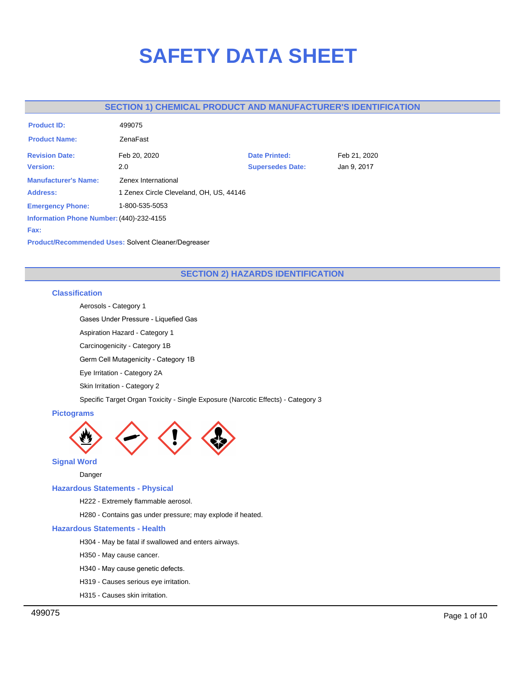# **SAFETY DATA SHEET**

# **SECTION 1) CHEMICAL PRODUCT AND MANUFACTURER'S IDENTIFICATION**

| <b>Product ID:</b>                       | 499075                                  |                         |              |
|------------------------------------------|-----------------------------------------|-------------------------|--------------|
| <b>Product Name:</b>                     | ZenaFast                                |                         |              |
| <b>Revision Date:</b>                    | Feb 20, 2020                            | <b>Date Printed:</b>    | Feb 21, 2020 |
| <b>Version:</b>                          | 2.0                                     | <b>Supersedes Date:</b> | Jan 9, 2017  |
| <b>Manufacturer's Name:</b>              | Zenex International                     |                         |              |
| <b>Address:</b>                          | 1 Zenex Circle Cleveland, OH, US, 44146 |                         |              |
| <b>Emergency Phone:</b>                  | 1-800-535-5053                          |                         |              |
| Information Phone Number: (440)-232-4155 |                                         |                         |              |
| Fax:                                     |                                         |                         |              |

**Product/Recommended Uses:** Solvent Cleaner/Degreaser

# **SECTION 2) HAZARDS IDENTIFICATION**

## **Classification**

Aerosols - Category 1

Gases Under Pressure - Liquefied Gas

Aspiration Hazard - Category 1

Carcinogenicity - Category 1B

Germ Cell Mutagenicity - Category 1B

Eye Irritation - Category 2A

Skin Irritation - Category 2

Specific Target Organ Toxicity - Single Exposure (Narcotic Effects) - Category 3

## **Pictograms**



**Signal Word**

Danger

#### **Hazardous Statements - Physical**

H222 - Extremely flammable aerosol.

H280 - Contains gas under pressure; may explode if heated.

#### **Hazardous Statements - Health**

- H304 May be fatal if swallowed and enters airways.
- H350 May cause cancer.
- H340 May cause genetic defects.
- H319 Causes serious eye irritation.
- H315 Causes skin irritation.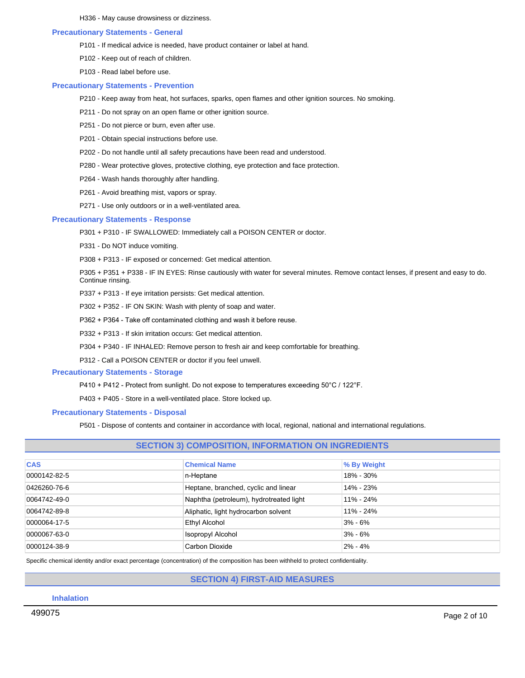H336 - May cause drowsiness or dizziness.

#### **Precautionary Statements - General**

- P101 If medical advice is needed, have product container or label at hand.
- P102 Keep out of reach of children.
- P103 Read label before use.

#### **Precautionary Statements - Prevention**

- P210 Keep away from heat, hot surfaces, sparks, open flames and other ignition sources. No smoking.
- P211 Do not spray on an open flame or other ignition source.
- P251 Do not pierce or burn, even after use.
- P201 Obtain special instructions before use.
- P202 Do not handle until all safety precautions have been read and understood.
- P280 Wear protective gloves, protective clothing, eye protection and face protection.
- P264 Wash hands thoroughly after handling.
- P261 Avoid breathing mist, vapors or spray.
- P271 Use only outdoors or in a well-ventilated area.

#### **Precautionary Statements - Response**

- P301 + P310 IF SWALLOWED: Immediately call a POISON CENTER or doctor.
- P331 Do NOT induce vomiting.
- P308 + P313 IF exposed or concerned: Get medical attention.

P305 + P351 + P338 - IF IN EYES: Rinse cautiously with water for several minutes. Remove contact lenses, if present and easy to do. Continue rinsing.

- P337 + P313 If eye irritation persists: Get medical attention.
- P302 + P352 IF ON SKIN: Wash with plenty of soap and water.
- P362 + P364 Take off contaminated clothing and wash it before reuse.
- P332 + P313 If skin irritation occurs: Get medical attention.
- P304 + P340 IF INHALED: Remove person to fresh air and keep comfortable for breathing.
- P312 Call a POISON CENTER or doctor if you feel unwell.

## **Precautionary Statements - Storage**

- P410 + P412 Protect from sunlight. Do not expose to temperatures exceeding 50°C / 122°F.
- P403 + P405 Store in a well-ventilated place. Store locked up.

## **Precautionary Statements - Disposal**

P501 - Dispose of contents and container in accordance with local, regional, national and international regulations.

| <b>SECTION 3) COMPOSITION, INFORMATION ON INGREDIENTS</b> |                                         |               |  |  |
|-----------------------------------------------------------|-----------------------------------------|---------------|--|--|
| <b>CAS</b>                                                | <b>Chemical Name</b>                    | % By Weight   |  |  |
| 0000142-82-5                                              | n-Heptane                               | 18% - 30%     |  |  |
| 0426260-76-6                                              | Heptane, branched, cyclic and linear    | 14% - 23%     |  |  |
| 0064742-49-0                                              | Naphtha (petroleum), hydrotreated light | $11\% - 24\%$ |  |  |
| 0064742-89-8                                              | Aliphatic, light hydrocarbon solvent    | $11\% - 24\%$ |  |  |
| 0000064-17-5                                              | Ethyl Alcohol                           | $3% - 6%$     |  |  |
| 0000067-63-0                                              | Isopropyl Alcohol                       | $3% - 6%$     |  |  |
| 0000124-38-9                                              | Carbon Dioxide                          | $2\% - 4\%$   |  |  |

Specific chemical identity and/or exact percentage (concentration) of the composition has been withheld to protect confidentiality.

## **SECTION 4) FIRST-AID MEASURES**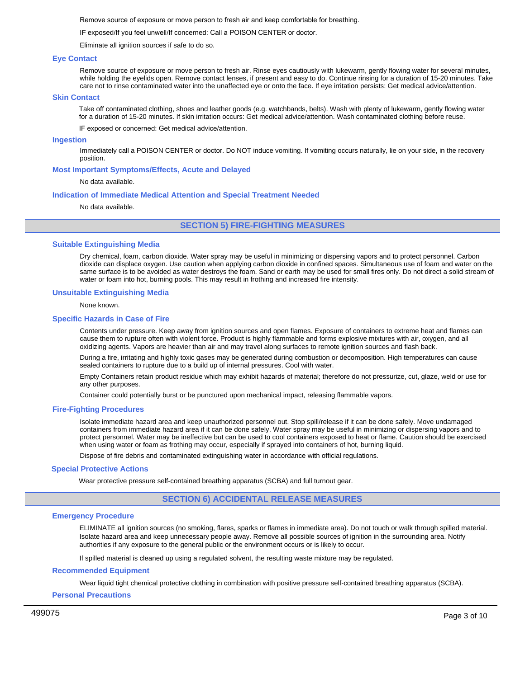Remove source of exposure or move person to fresh air and keep comfortable for breathing.

IF exposed/If you feel unwell/If concerned: Call a POISON CENTER or doctor.

Eliminate all ignition sources if safe to do so.

#### **Eye Contact**

Remove source of exposure or move person to fresh air. Rinse eyes cautiously with lukewarm, gently flowing water for several minutes, while holding the eyelids open. Remove contact lenses, if present and easy to do. Continue rinsing for a duration of 15-20 minutes. Take care not to rinse contaminated water into the unaffected eye or onto the face. If eye irritation persists: Get medical advice/attention.

#### **Skin Contact**

Take off contaminated clothing, shoes and leather goods (e.g. watchbands, belts). Wash with plenty of lukewarm, gently flowing water for a duration of 15-20 minutes. If skin irritation occurs: Get medical advice/attention. Wash contaminated clothing before reuse.

IF exposed or concerned: Get medical advice/attention.

#### **Ingestion**

Immediately call a POISON CENTER or doctor. Do NOT induce vomiting. If vomiting occurs naturally, lie on your side, in the recovery position.

#### **Most Important Symptoms/Effects, Acute and Delayed**

#### No data available.

#### **Indication of Immediate Medical Attention and Special Treatment Needed**

No data available.

**SECTION 5) FIRE-FIGHTING MEASURES**

#### **Suitable Extinguishing Media**

Dry chemical, foam, carbon dioxide. Water spray may be useful in minimizing or dispersing vapors and to protect personnel. Carbon dioxide can displace oxygen. Use caution when applying carbon dioxide in confined spaces. Simultaneous use of foam and water on the same surface is to be avoided as water destroys the foam. Sand or earth may be used for small fires only. Do not direct a solid stream of water or foam into hot, burning pools. This may result in frothing and increased fire intensity.

#### **Unsuitable Extinguishing Media**

#### None known.

#### **Specific Hazards in Case of Fire**

Contents under pressure. Keep away from ignition sources and open flames. Exposure of containers to extreme heat and flames can cause them to rupture often with violent force. Product is highly flammable and forms explosive mixtures with air, oxygen, and all oxidizing agents. Vapors are heavier than air and may travel along surfaces to remote ignition sources and flash back.

During a fire, irritating and highly toxic gases may be generated during combustion or decomposition. High temperatures can cause sealed containers to rupture due to a build up of internal pressures. Cool with water.

Empty Containers retain product residue which may exhibit hazards of material; therefore do not pressurize, cut, glaze, weld or use for any other purposes.

Container could potentially burst or be punctured upon mechanical impact, releasing flammable vapors.

#### **Fire-Fighting Procedures**

Isolate immediate hazard area and keep unauthorized personnel out. Stop spill/release if it can be done safely. Move undamaged containers from immediate hazard area if it can be done safely. Water spray may be useful in minimizing or dispersing vapors and to protect personnel. Water may be ineffective but can be used to cool containers exposed to heat or flame. Caution should be exercised when using water or foam as frothing may occur, especially if sprayed into containers of hot, burning liquid.

Dispose of fire debris and contaminated extinguishing water in accordance with official regulations.

#### **Special Protective Actions**

Wear protective pressure self-contained breathing apparatus (SCBA) and full turnout gear.

## **SECTION 6) ACCIDENTAL RELEASE MEASURES**

#### **Emergency Procedure**

ELIMINATE all ignition sources (no smoking, flares, sparks or flames in immediate area). Do not touch or walk through spilled material. Isolate hazard area and keep unnecessary people away. Remove all possible sources of ignition in the surrounding area. Notify authorities if any exposure to the general public or the environment occurs or is likely to occur.

If spilled material is cleaned up using a regulated solvent, the resulting waste mixture may be regulated.

#### **Recommended Equipment**

Wear liquid tight chemical protective clothing in combination with positive pressure self-contained breathing apparatus (SCBA).

## **Personal Precautions**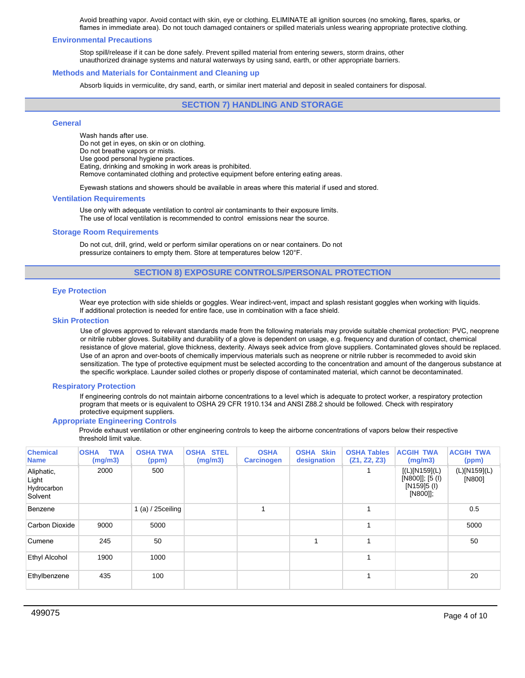Avoid breathing vapor. Avoid contact with skin, eye or clothing. ELIMINATE all ignition sources (no smoking, flares, sparks, or flames in immediate area). Do not touch damaged containers or spilled materials unless wearing appropriate protective clothing.

#### **Environmental Precautions**

Stop spill/release if it can be done safely. Prevent spilled material from entering sewers, storm drains, other unauthorized drainage systems and natural waterways by using sand, earth, or other appropriate barriers.

#### **Methods and Materials for Containment and Cleaning up**

Absorb liquids in vermiculite, dry sand, earth, or similar inert material and deposit in sealed containers for disposal.

## **SECTION 7) HANDLING AND STORAGE**

#### **General**

Wash hands after use. Do not get in eyes, on skin or on clothing. Do not breathe vapors or mists. Use good personal hygiene practices. Eating, drinking and smoking in work areas is prohibited. Remove contaminated clothing and protective equipment before entering eating areas.

Eyewash stations and showers should be available in areas where this material if used and stored.

#### **Ventilation Requirements**

Use only with adequate ventilation to control air contaminants to their exposure limits. The use of local ventilation is recommended to control emissions near the source.

## **Storage Room Requirements**

Do not cut, drill, grind, weld or perform similar operations on or near containers. Do not pressurize containers to empty them. Store at temperatures below 120°F.

## **SECTION 8) EXPOSURE CONTROLS/PERSONAL PROTECTION**

#### **Eye Protection**

Wear eye protection with side shields or goggles. Wear indirect-vent, impact and splash resistant goggles when working with liquids. If additional protection is needed for entire face, use in combination with a face shield.

#### **Skin Protection**

Use of gloves approved to relevant standards made from the following materials may provide suitable chemical protection: PVC, neoprene or nitrile rubber gloves. Suitability and durability of a glove is dependent on usage, e.g. frequency and duration of contact, chemical resistance of glove material, glove thickness, dexterity. Always seek advice from glove suppliers. Contaminated gloves should be replaced. Use of an apron and over-boots of chemically impervious materials such as neoprene or nitrile rubber is recommeded to avoid skin sensitization. The type of protective equipment must be selected according to the concentration and amount of the dangerous substance at the specific workplace. Launder soiled clothes or properly dispose of contaminated material, which cannot be decontaminated.

#### **Respiratory Protection**

If engineering controls do not maintain airborne concentrations to a level which is adequate to protect worker, a respiratory protection program that meets or is equivalent to OSHA 29 CFR 1910.134 and ANSI Z88.2 should be followed. Check with respiratory protective equipment suppliers.

#### **Appropriate Engineering Controls**

Provide exhaust ventilation or other engineering controls to keep the airborne concentrations of vapors below their respective threshold limit value.

| <b>Chemical</b><br><b>Name</b>                | <b>TWA</b><br><b>OSHA</b><br>(mg/m3) | <b>OSHA TWA</b><br>(ppm) | <b>OSHA STEL</b><br>(mg/m3) | <b>OSHA</b><br><b>Carcinogen</b> | <b>OSHA Skin</b><br>designation | <b>OSHA Tables</b><br>(Z1, Z2, Z3) | <b>ACGIH TWA</b><br>(mg/m3)                                 | <b>ACGIH TWA</b><br>(ppm) |
|-----------------------------------------------|--------------------------------------|--------------------------|-----------------------------|----------------------------------|---------------------------------|------------------------------------|-------------------------------------------------------------|---------------------------|
| Aliphatic,<br>Light<br>Hydrocarbon<br>Solvent | 2000                                 | 500                      |                             |                                  |                                 |                                    | [(L)[N159](L)<br>[N800]]; [5 (I)<br>[N159]5 (I)<br>[N800]]; | (L)[N159](L)<br>[N800]    |
| Benzene                                       |                                      | 1 $(a) / 25$ ceiling     |                             |                                  |                                 | 1                                  |                                                             | 0.5                       |
| Carbon Dioxide                                | 9000                                 | 5000                     |                             |                                  |                                 | 1                                  |                                                             | 5000                      |
| Cumene                                        | 245                                  | 50                       |                             |                                  | и                               | 1                                  |                                                             | 50                        |
| Ethyl Alcohol                                 | 1900                                 | 1000                     |                             |                                  |                                 | 1                                  |                                                             |                           |
| Ethylbenzene                                  | 435                                  | 100                      |                             |                                  |                                 | 1                                  |                                                             | 20                        |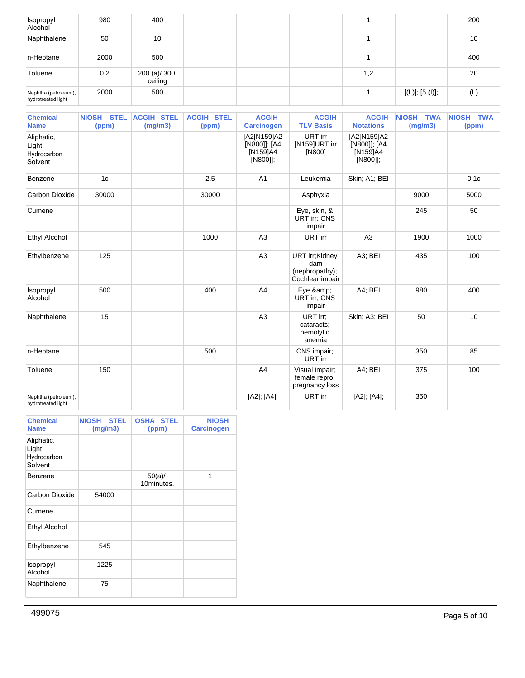| Isopropyl<br>Alcohol                       | 980  | 400                     |  |     |                 | 200 |
|--------------------------------------------|------|-------------------------|--|-----|-----------------|-----|
| Naphthalene                                | 50   | 10                      |  |     |                 | 10  |
| n-Heptane                                  | 2000 | 500                     |  |     |                 | 400 |
| Toluene                                    | 0.2  | 200 (a)/ 300<br>ceiling |  | 1,2 |                 | 20  |
| Naphtha (petroleum),<br>hydrotreated light | 2000 | 500                     |  |     | [(L)]; [5 (I)]; | (L) |

| <b>Chemical</b><br><b>Name</b>                | NIOSH STEL<br>(ppm) | <b>ACGIH STEL</b><br>(mg/m3) | <b>ACGIH STEL</b><br>(ppm) | <b>ACGIH</b><br><b>Carcinogen</b>                   | <b>ACGIH</b><br><b>TLV Basis</b>                           | <b>ACGIH</b><br><b>Notations</b>                    | NIOSH TWA<br>(mg/m3) | NIOSH TWA<br>(ppm) |
|-----------------------------------------------|---------------------|------------------------------|----------------------------|-----------------------------------------------------|------------------------------------------------------------|-----------------------------------------------------|----------------------|--------------------|
| Aliphatic,<br>Light<br>Hydrocarbon<br>Solvent |                     |                              |                            | [A2[N159]A2<br>[N800]]; [A4<br>[N159]A4<br>[N800]]; | URT irr<br>[N159]URT irr<br>[N800]                         | [A2[N159]A2<br>[N800]]; [A4<br>[N159]A4<br>[N800]]; |                      |                    |
| Benzene                                       | 1 <sub>c</sub>      |                              | 2.5                        | A <sub>1</sub>                                      | Leukemia                                                   | Skin; A1; BEI                                       |                      | 0.1c               |
| Carbon Dioxide                                | 30000               |                              | 30000                      |                                                     | Asphyxia                                                   |                                                     | 9000                 | 5000               |
| Cumene                                        |                     |                              |                            |                                                     | Eye, skin, &<br><b>URT irr; CNS</b><br>impair              |                                                     | 245                  | 50                 |
| <b>Ethyl Alcohol</b>                          |                     |                              | 1000                       | A3                                                  | URT irr                                                    | A <sub>3</sub>                                      | 1900                 | 1000               |
| Ethylbenzene                                  | 125                 |                              |                            | A3                                                  | URT irr;Kidney<br>dam<br>(nephropathy);<br>Cochlear impair | A3; BEI                                             | 435                  | 100                |
| Isopropyl<br>Alcohol                          | 500                 |                              | 400                        | A4                                                  | Eye &<br><b>URT irr; CNS</b><br>impair                     | A4; BEI                                             | 980                  | 400                |
| Naphthalene                                   | 15                  |                              |                            | A3                                                  | URT irr:<br>cataracts;<br>hemolytic<br>anemia              | Skin; A3; BEI                                       | 50                   | 10                 |
| n-Heptane                                     |                     |                              | 500                        |                                                     | CNS impair;<br>URT irr                                     |                                                     | 350                  | 85                 |
| Toluene                                       | 150                 |                              |                            | A4                                                  | Visual impair;<br>female repro;<br>pregnancy loss          | A4; BEI                                             | 375                  | 100                |
| Naphtha (petroleum),<br>hydrotreated light    |                     |                              |                            | [A2]; [A4];                                         | URT irr                                                    | [A2]; [A4];                                         | 350                  |                    |

| <b>Chemical</b><br><b>Name</b>                | <b>NIOSH</b><br><b>STEL</b><br>(mg/m3) | <b>OSHA STEL</b><br>(ppm) | <b>NIOSH</b><br><b>Carcinogen</b> |
|-----------------------------------------------|----------------------------------------|---------------------------|-----------------------------------|
| Aliphatic,<br>Light<br>Hydrocarbon<br>Solvent |                                        |                           |                                   |
| Benzene                                       |                                        | $50(a)$ /<br>10minutes.   | 1                                 |
| Carbon Dioxide                                | 54000                                  |                           |                                   |
| Cumene                                        |                                        |                           |                                   |
| <b>Ethyl Alcohol</b>                          |                                        |                           |                                   |
| Ethylbenzene                                  | 545                                    |                           |                                   |
| Isopropyl<br>Alcohol                          | 1225                                   |                           |                                   |
| Naphthalene                                   | 75                                     |                           |                                   |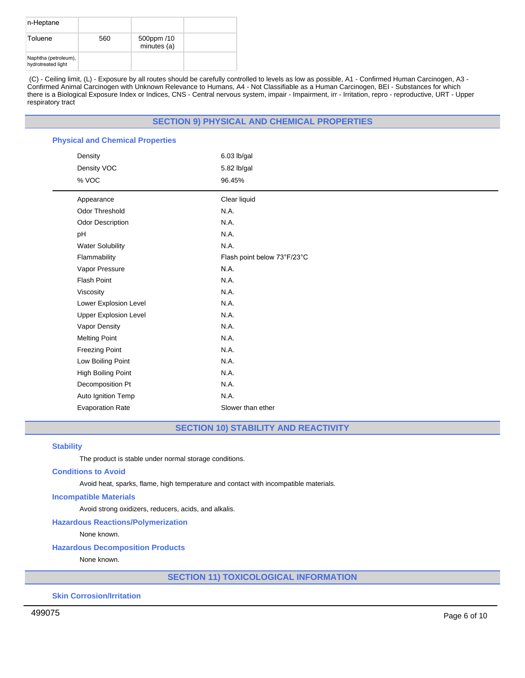| n-Heptane                                  |     |                           |  |
|--------------------------------------------|-----|---------------------------|--|
| Toluene                                    | 560 | 500ppm /10<br>minutes (a) |  |
| Naphtha (petroleum),<br>hydrotreated light |     |                           |  |

(C) - Ceiling limit, (L) - Exposure by all routes should be carefully controlled to levels as low as possible, A1 - Confirmed Human Carcinogen, A3 - Confirmed Animal Carcinogen with Unknown Relevance to Humans, A4 - Not Classifiable as a Human Carcinogen, BEI - Substances for which there is a Biological Exposure Index or Indices, CNS - Central nervous system, impair - Impairment, irr - Irritation, repro - reproductive, URT - Upper respiratory tract

## **SECTION 9) PHYSICAL AND CHEMICAL PROPERTIES**

| <b>Physical and Chemical Properties</b> |                             |
|-----------------------------------------|-----------------------------|
| Density                                 | 6.03 lb/gal                 |
| Density VOC                             | 5.82 lb/gal                 |
| % VOC                                   | 96.45%                      |
| Appearance                              | Clear liquid                |
| <b>Odor Threshold</b>                   | N.A.                        |
| <b>Odor Description</b>                 | N.A.                        |
| pH                                      | N.A.                        |
| <b>Water Solubility</b>                 | N.A.                        |
| Flammability                            | Flash point below 73°F/23°C |
| Vapor Pressure                          | N.A.                        |
| <b>Flash Point</b>                      | N.A.                        |
| Viscosity                               | N.A.                        |
| Lower Explosion Level                   | N.A.                        |
| <b>Upper Explosion Level</b>            | N.A.                        |
| Vapor Density                           | N.A.                        |
| <b>Melting Point</b>                    | N.A.                        |
| <b>Freezing Point</b>                   | N.A.                        |
| Low Boiling Point                       | N.A.                        |
| High Boiling Point                      | N.A.                        |
| Decomposition Pt                        | N.A.                        |
| Auto Ignition Temp                      | N.A.                        |
| <b>Evaporation Rate</b>                 | Slower than ether           |

**SECTION 10) STABILITY AND REACTIVITY**

## **Stability**

The product is stable under normal storage conditions.

#### **Conditions to Avoid**

Avoid heat, sparks, flame, high temperature and contact with incompatible materials.

#### **Incompatible Materials**

Avoid strong oxidizers, reducers, acids, and alkalis.

# **Hazardous Reactions/Polymerization**

None known.

## **Hazardous Decomposition Products**

None known.

**SECTION 11) TOXICOLOGICAL INFORMATION**

**Skin Corrosion/Irritation**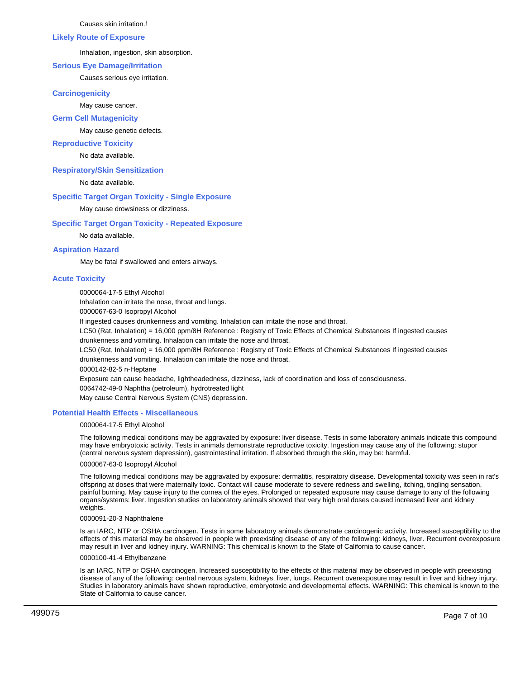Causes skin irritation.!

#### **Likely Route of Exposure**

Inhalation, ingestion, skin absorption.

## **Serious Eye Damage/Irritation**

Causes serious eye irritation.

## **Carcinogenicity**

May cause cancer.

## **Germ Cell Mutagenicity**

May cause genetic defects.

## **Reproductive Toxicity**

No data available.

## **Respiratory/Skin Sensitization**

No data available.

# **Specific Target Organ Toxicity - Single Exposure**

May cause drowsiness or dizziness.

## **Specific Target Organ Toxicity - Repeated Exposure**

No data available.

## **Aspiration Hazard**

May be fatal if swallowed and enters airways.

## **Acute Toxicity**

0000064-17-5 Ethyl Alcohol

Inhalation can irritate the nose, throat and lungs.

0000067-63-0 Isopropyl Alcohol

If ingested causes drunkenness and vomiting. Inhalation can irritate the nose and throat.

LC50 (Rat, Inhalation) = 16,000 ppm/8H Reference : Registry of Toxic Effects of Chemical Substances If ingested causes drunkenness and vomiting. Inhalation can irritate the nose and throat.

LC50 (Rat, Inhalation) = 16,000 ppm/8H Reference : Registry of Toxic Effects of Chemical Substances If ingested causes

drunkenness and vomiting. Inhalation can irritate the nose and throat.

0000142-82-5 n-Heptane

Exposure can cause headache, lightheadedness, dizziness, lack of coordination and loss of consciousness.

0064742-49-0 Naphtha (petroleum), hydrotreated light

May cause Central Nervous System (CNS) depression.

## **Potential Health Effects - Miscellaneous**

## 0000064-17-5 Ethyl Alcohol

The following medical conditions may be aggravated by exposure: liver disease. Tests in some laboratory animals indicate this compound may have embryotoxic activity. Tests in animals demonstrate reproductive toxicity. Ingestion may cause any of the following: stupor (central nervous system depression), gastrointestinal irritation. If absorbed through the skin, may be: harmful.

## 0000067-63-0 Isopropyl Alcohol

The following medical conditions may be aggravated by exposure: dermatitis, respiratory disease. Developmental toxicity was seen in rat's offspring at doses that were maternally toxic. Contact will cause moderate to severe redness and swelling, itching, tingling sensation, painful burning. May cause injury to the cornea of the eyes. Prolonged or repeated exposure may cause damage to any of the following organs/systems: liver. Ingestion studies on laboratory animals showed that very high oral doses caused increased liver and kidney weights.

## 0000091-20-3 Naphthalene

Is an IARC, NTP or OSHA carcinogen. Tests in some laboratory animals demonstrate carcinogenic activity. Increased susceptibility to the effects of this material may be observed in people with preexisting disease of any of the following: kidneys, liver. Recurrent overexposure may result in liver and kidney injury. WARNING: This chemical is known to the State of California to cause cancer.

## 0000100-41-4 Ethylbenzene

Is an IARC, NTP or OSHA carcinogen. Increased susceptibility to the effects of this material may be observed in people with preexisting disease of any of the following: central nervous system, kidneys, liver, lungs. Recurrent overexposure may result in liver and kidney injury. Studies in laboratory animals have shown reproductive, embryotoxic and developmental effects. WARNING: This chemical is known to the State of California to cause cancer.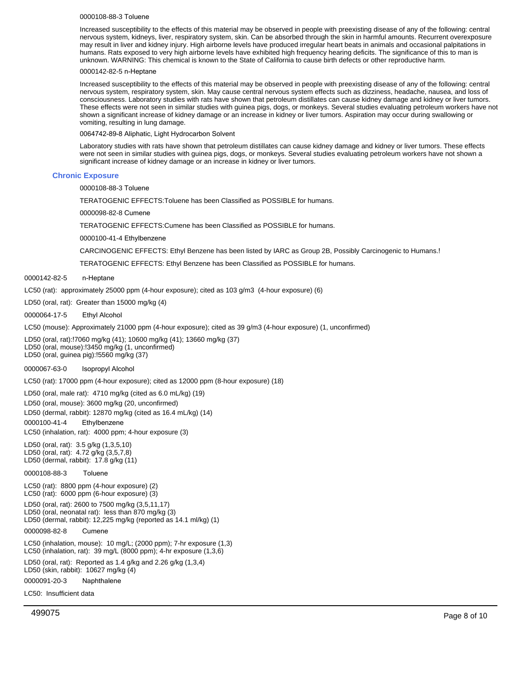#### 0000108-88-3 Toluene

Increased susceptibility to the effects of this material may be observed in people with preexisting disease of any of the following: central nervous system, kidneys, liver, respiratory system, skin. Can be absorbed through the skin in harmful amounts. Recurrent overexposure may result in liver and kidney injury. High airborne levels have produced irregular heart beats in animals and occasional palpitations in humans. Rats exposed to very high airborne levels have exhibited high frequency hearing deficits. The significance of this to man is unknown. WARNING: This chemical is known to the State of California to cause birth defects or other reproductive harm.

#### 0000142-82-5 n-Heptane

Increased susceptibility to the effects of this material may be observed in people with preexisting disease of any of the following: central nervous system, respiratory system, skin. May cause central nervous system effects such as dizziness, headache, nausea, and loss of consciousness. Laboratory studies with rats have shown that petroleum distillates can cause kidney damage and kidney or liver tumors. These effects were not seen in similar studies with guinea pigs, dogs, or monkeys. Several studies evaluating petroleum workers have not shown a significant increase of kidney damage or an increase in kidney or liver tumors. Aspiration may occur during swallowing or vomiting, resulting in lung damage.

0064742-89-8 Aliphatic, Light Hydrocarbon Solvent

Laboratory studies with rats have shown that petroleum distillates can cause kidney damage and kidney or liver tumors. These effects were not seen in similar studies with guinea pigs, dogs, or monkeys. Several studies evaluating petroleum workers have not shown a significant increase of kidney damage or an increase in kidney or liver tumors.

#### **Chronic Exposure**

0000108-88-3 Toluene

TERATOGENIC EFFECTS:Toluene has been Classified as POSSIBLE for humans.

0000098-82-8 Cumene

TERATOGENIC EFFECTS:Cumene has been Classified as POSSIBLE for humans.

0000100-41-4 Ethylbenzene

CARCINOGENIC EFFECTS: Ethyl Benzene has been listed by IARC as Group 2B, Possibly Carcinogenic to Humans.!

TERATOGENIC EFFECTS: Ethyl Benzene has been Classified as POSSIBLE for humans.

0000142-82-5 n-Heptane

LC50 (rat): approximately 25000 ppm (4-hour exposure); cited as 103 g/m3 (4-hour exposure) (6)

LD50 (oral, rat): Greater than 15000 mg/kg (4)

0000064-17-5 Ethyl Alcohol

LC50 (mouse): Approximately 21000 ppm (4-hour exposure); cited as 39 g/m3 (4-hour exposure) (1, unconfirmed)

LD50(oral, rat):!7060 mg/kg (41); 10600 mg/kg (41); 13660 mg/kg (37) LD50(oral, mouse):!3450 mg/kg (1, unconfirmed) LD50(oral, guinea pig):!5560 mg/kg (37)

0000067-63-0 Isopropyl Alcohol

LC50 (rat): 17000 ppm (4-hour exposure); cited as 12000 ppm (8-hour exposure) (18)

LD50 (oral, male rat): 4710 mg/kg (cited as 6.0 mL/kg) (19) LD50 (oral, mouse): 3600 mg/kg (20, unconfirmed) LD50 (dermal, rabbit): 12870 mg/kg (cited as 16.4 mL/kg) (14) 0000100-41-4 Ethylbenzene LC50 (inhalation, rat): 4000 ppm; 4-hour exposure (3)

LD50 (oral, rat): 3.5 g/kg (1,3,5,10) LD50 (oral, rat): 4.72 g/kg (3,5,7,8) LD50 (dermal, rabbit): 17.8 g/kg (11)

0000108-88-3 Toluene

LC50 (rat): 8800 ppm (4-hour exposure) (2) LC50 (rat): 6000 ppm (6-hour exposure) (3)

LD50 (oral, rat): 2600 to 7500 mg/kg (3,5,11,17)

LD50 (oral, neonatal rat): less than 870 mg/kg (3) LD50 (dermal, rabbit): 12,225 mg/kg (reported as 14.1 ml/kg) (1)

0000098-82-8 Cumene

LC50 (inhalation, mouse): 10 mg/L; (2000 ppm); 7-hr exposure (1,3) LC50 (inhalation, rat): 39 mg/L (8000 ppm); 4-hr exposure (1,3,6)

LD50 (oral, rat): Reported as 1.4 g/kg and 2.26 g/kg (1,3,4) LD50 (skin, rabbit): 10627 mg/kg (4)

**Naphthalene** 0000091-20-3

LC50: Insufficient data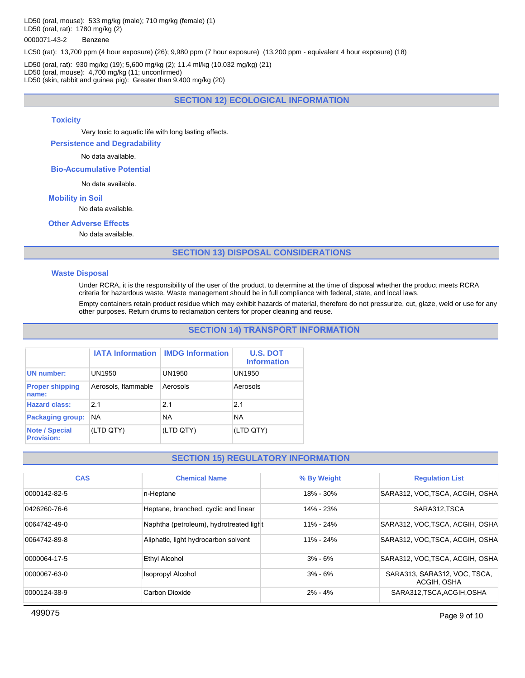LD50 (oral, mouse): 533 mg/kg (male); 710 mg/kg (female) (1) LD50 (oral, rat): 1780 mg/kg (2)

## 0000071-43-2 Benzene

LC50 (rat): 13,700 ppm (4 hour exposure) (26); 9,980 ppm (7 hour exposure) (13,200 ppm - equivalent 4 hour exposure) (18)

LD50 (oral, rat): 930 mg/kg (19); 5,600 mg/kg (2); 11.4 ml/kg (10,032 mg/kg) (21) LD50 (oral, mouse): 4,700 mg/kg (11; unconfirmed) LD50 (skin, rabbit and guinea pig): Greater than 9,400 mg/kg (20)

# **SECTION 12) ECOLOGICAL INFORMATION**

#### **Toxicity**

Very toxic to aquatic life with long lasting effects.

**Persistence and Degradability**

No data available.

**Bio-Accumulative Potential**

No data available.

#### **Mobility in Soil**

No data available.

# **Other Adverse Effects**

No data available.

## **SECTION 13) DISPOSAL CONSIDERATIONS**

#### **Waste Disposal**

Under RCRA, it is the responsibility of the user of the product, to determine at the time of disposal whether the product meets RCRA criteria for hazardous waste. Waste management should be in full compliance with federal, state, and local laws.

Empty containers retain product residue which may exhibit hazards of material, therefore do not pressurize, cut, glaze, weld or use for any other purposes. Return drums to reclamation centers for proper cleaning and reuse.

## **SECTION 14) TRANSPORT INFORMATION**

|                                            |                     | <b>IATA Information   IMDG Information</b> | <b>U.S. DOT</b><br><b>Information</b> |
|--------------------------------------------|---------------------|--------------------------------------------|---------------------------------------|
| <b>UN</b> number:                          | UN1950              | UN1950                                     | UN1950                                |
| <b>Proper shipping</b><br>name:            | Aerosols, flammable | Aerosols                                   | Aerosols                              |
| <b>Hazard class:</b>                       | 21                  | 21                                         | 21                                    |
| Packaging group:                           | <b>NA</b>           | <b>NA</b>                                  | <b>NA</b>                             |
| <b>Note / Special</b><br><b>Provision:</b> | (LTD QTY)           | (LTD QTY)                                  | (LTD QTY)                             |

## **SECTION 15) REGULATORY INFORMATION**

| <b>CAS</b>   | <b>Chemical Name</b>                    | % By Weight   | <b>Regulation List</b>                      |
|--------------|-----------------------------------------|---------------|---------------------------------------------|
| 0000142-82-5 | n-Heptane                               | 18% - 30%     | SARA312, VOC, TSCA, ACGIH, OSHA             |
| 0426260-76-6 | Heptane, branched, cyclic and linear    | $14\% - 23\%$ | SARA312.TSCA                                |
| 0064742-49-0 | Naphtha (petroleum), hydrotreated light | $11\% - 24\%$ | SARA312, VOC, TSCA, ACGIH, OSHA             |
| 0064742-89-8 | Aliphatic, light hydrocarbon solvent    | $11\% - 24\%$ | SARA312, VOC, TSCA, ACGIH, OSHA             |
| 0000064-17-5 | Ethyl Alcohol                           | $3% - 6%$     | SARA312, VOC, TSCA, ACGIH, OSHA             |
| 0000067-63-0 | <b>Isopropyl Alcohol</b>                | $3% - 6%$     | SARA313, SARA312, VOC, TSCA,<br>ACGIH, OSHA |
| 0000124-38-9 | Carbon Dioxide                          | $2\% - 4\%$   | SARA312, TSCA, ACGIH, OSHA                  |